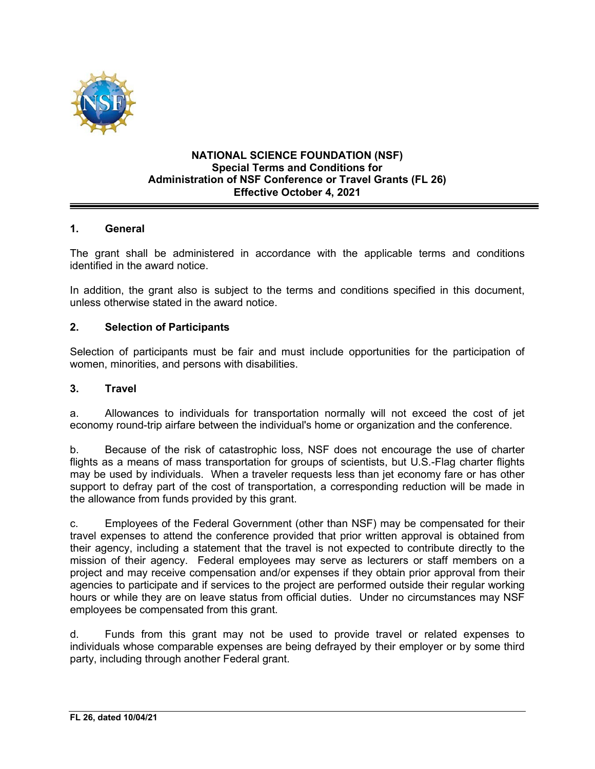

#### **NATIONAL SCIENCE FOUNDATION (NSF) Special Terms and Conditions for Administration of NSF Conference or Travel Grants (FL 26) Effective October 4, 2021**

### **1. General**

The grant shall be administered in accordance with the applicable terms and conditions identified in the award notice.

In addition, the grant also is subject to the terms and conditions specified in this document, unless otherwise stated in the award notice.

#### **2. Selection of Participants**

Selection of participants must be fair and must include opportunities for the participation of women, minorities, and persons with disabilities.

#### **3. Travel**

a. Allowances to individuals for transportation normally will not exceed the cost of jet economy round-trip airfare between the individual's home or organization and the conference.

b. Because of the risk of catastrophic loss, NSF does not encourage the use of charter flights as a means of mass transportation for groups of scientists, but U.S.-Flag charter flights may be used by individuals. When a traveler requests less than jet economy fare or has other support to defray part of the cost of transportation, a corresponding reduction will be made in the allowance from funds provided by this grant.

c. Employees of the Federal Government (other than NSF) may be compensated for their travel expenses to attend the conference provided that prior written approval is obtained from their agency, including a statement that the travel is not expected to contribute directly to the mission of their agency. Federal employees may serve as lecturers or staff members on a project and may receive compensation and/or expenses if they obtain prior approval from their agencies to participate and if services to the project are performed outside their regular working hours or while they are on leave status from official duties. Under no circumstances may NSF employees be compensated from this grant.

d. Funds from this grant may not be used to provide travel or related expenses to individuals whose comparable expenses are being defrayed by their employer or by some third party, including through another Federal grant.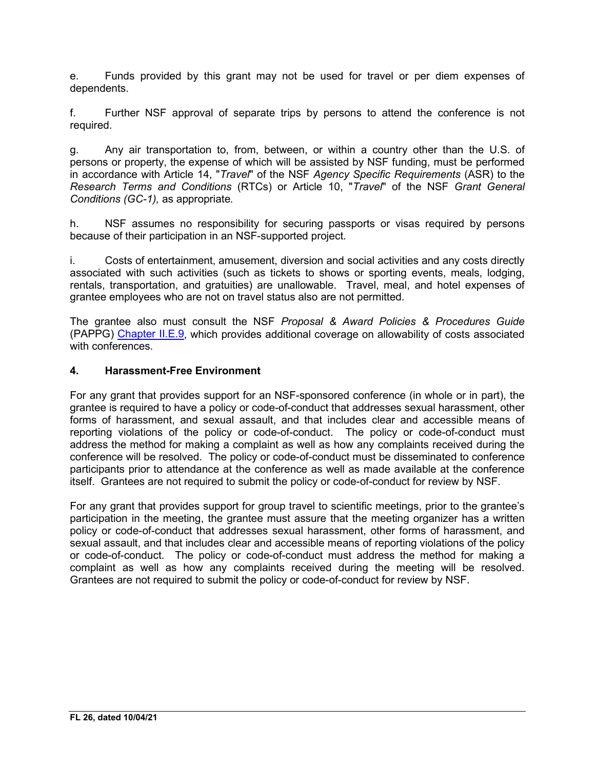e. Funds provided by this grant may not be used for travel or per diem expenses of dependents.

f. Further NSF approval of separate trips by persons to attend the conference is not required.

g. Any air transportation to, from, between, or within a country other than the U.S. of persons or property, the expense of which will be assisted by NSF funding, must be performed in accordance with Article 14, "*Travel*" of the NSF *Agency Specific Requirements* (ASR) to the *Research Terms and Conditions* (RTCs) or Article 10, "*Travel*" of the NSF *Grant General Conditions (GC-1),* as appropriate*.*

h. NSF assumes no responsibility for securing passports or visas required by persons because of their participation in an NSF-supported project.

i. Costs of entertainment, amusement, diversion and social activities and any costs directly associated with such activities (such as tickets to shows or sporting events, meals, lodging, rentals, transportation, and gratuities) are unallowable. Travel, meal, and hotel expenses of grantee employees who are not on travel status also are not permitted.

The grantee also must consult the NSF *Proposal & Award Policies & Procedures Guide* (PAPPG) Chapter II.E.9, which provides additional coverage on allowability of costs associated with conferences.

### **4. Harassment-Free Environment**

For any grant that provides support for an NSF-sponsored conference (in whole or in part), the grantee is required to have a policy or code-of-conduct that addresses sexual harassment, other forms of harassment, and sexual assault, and that includes clear and accessible means of reporting violations of the policy or code-of-conduct. The policy or code-of-conduct must address the method for making a complaint as well as how any complaints received during the conference will be resolved. The policy or code-of-conduct must be disseminated to conference participants prior to attendance at the conference as well as made available at the conference itself. Grantees are not required to submit the policy or code-of-conduct for review by NSF.

For any grant that provides support for group travel to scientific meetings, prior to the grantee's participation in the meeting, the grantee must assure that the meeting organizer has a written policy or code-of-conduct that addresses sexual harassment, other forms of harassment, and sexual assault, and that includes clear and accessible means of reporting violations of the policy or code-of-conduct. The policy or code-of-conduct must address the method for making a complaint as well as how any complaints received during the meeting will be resolved. Grantees are not required to submit the policy or code-of-conduct for review by NSF.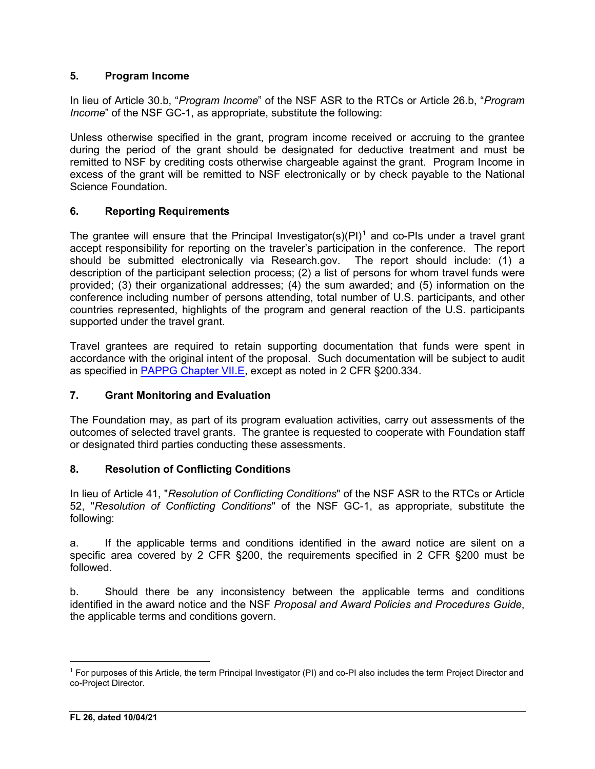## **5. Program Income**

In lieu of Article 30.b, "*Program Income*" of the NSF ASR to the RTCs or Article 26.b, "*Program Income*" of the NSF GC-1, as appropriate, substitute the following:

Unless otherwise specified in the grant, program income received or accruing to the grantee during the period of the grant should be designated for deductive treatment and must be remitted to NSF by crediting costs otherwise chargeable against the grant. Program Income in excess of the grant will be remitted to NSF electronically or by check payable to the National Science Foundation.

# **6. Reporting Requirements**

The grantee will ensure that the Principal Investigator(s) $(PI)^1$  $(PI)^1$  and co-PIs under a travel grant accept responsibility for reporting on the traveler's participation in the conference. The report should be submitted electronically via Research.gov. The report should include: (1) a description of the participant selection process; (2) a list of persons for whom travel funds were provided; (3) their organizational addresses; (4) the sum awarded; and (5) information on the conference including number of persons attending, total number of U.S. participants, and other countries represented, highlights of the program and general reaction of the U.S. participants supported under the travel grant.

Travel grantees are required to retain supporting documentation that funds were spent in accordance with the original intent of the proposal. Such documentation will be subject to audit as specified in PAPPG Chapter VII.E, except as noted in 2 CFR §200.334*.*

## **7. Grant Monitoring and Evaluation**

The Foundation may, as part of its program evaluation activities, carry out assessments of the outcomes of selected travel grants. The grantee is requested to cooperate with Foundation staff or designated third parties conducting these assessments.

## **8. Resolution of Conflicting Conditions**

In lieu of Article 41, "*Resolution of Conflicting Conditions*" of the NSF ASR to the RTCs or Article 52, "*Resolution of Conflicting Conditions*" of the NSF GC-1, as appropriate, substitute the following:

a. If the applicable terms and conditions identified in the award notice are silent on a specific area covered by 2 CFR §200, the requirements specified in 2 CFR §200 must be followed.

b. Should there be any inconsistency between the applicable terms and conditions identified in the award notice and the NSF *Proposal and Award Policies and Procedures Guide*, the applicable terms and conditions govern.

<span id="page-2-0"></span><sup>&</sup>lt;sup>1</sup> For purposes of this Article, the term Principal Investigator (PI) and co-PI also includes the term Project Director and co-Project Director.